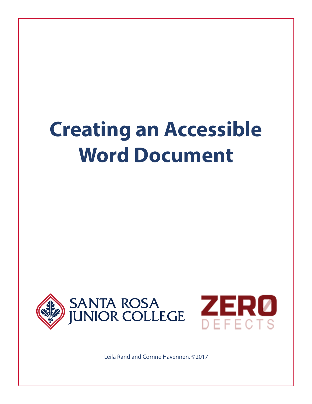# **Creating an Accessible Word Document**





Leila Rand and Corrine Haverinen, ©2017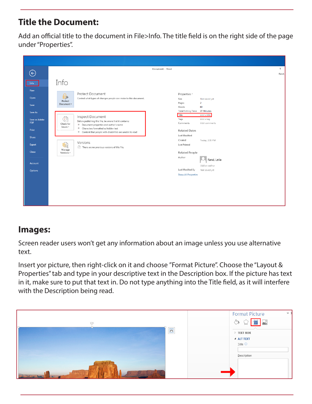## **Title the Document:**

Add an official title to the document in File>Info. The title field is on the right side of the page under "Properties".

| $\bigodot$                      | Document1 - Word                                                                                                                                                                                                                                                      | $2 -$<br>Rand, |
|---------------------------------|-----------------------------------------------------------------------------------------------------------------------------------------------------------------------------------------------------------------------------------------------------------------------|----------------|
| Info<br>New                     | Info                                                                                                                                                                                                                                                                  |                |
| Open<br>Save                    | <b>Protect Document</b><br>Properties *<br>D<br>Control what types of changes people can make to this document.<br>Size<br>Not saved yet<br>Protect<br>$\overline{2}$<br>Pages<br>Document *<br>69<br>Words                                                           |                |
| Save As<br>Save as Adobe<br>PDF | Total Editing Time 27 Minutes<br>Title<br>Add a title<br>Inspect Document<br>$\bigcirc$<br>Tags<br>Add a tag<br>Before publishing this file, be aware that it contains:<br>Comments<br>Add comments<br>Check for<br>Document properties and author's name<br>Issues * |                |
| Print<br>Share                  | Characters formatted as hidden text<br><b>Related Dates</b><br>Content that people with disabilities are unable to read<br>Last Modified<br>Created<br>Today, 2:31 PM                                                                                                 |                |
| Export<br>Close                 | Versions<br><b>To</b><br><b>Last Printed</b><br>There are no previous versions of this file.<br>Manage<br><b>Related People</b><br>Versions *                                                                                                                         |                |
| Account                         | Author<br>Rand, Leila<br>Add an author                                                                                                                                                                                                                                |                |
| Options                         | Last Modified By<br>Not saved yet<br><b>Show All Properties</b>                                                                                                                                                                                                       |                |
|                                 |                                                                                                                                                                                                                                                                       |                |
|                                 |                                                                                                                                                                                                                                                                       |                |

#### **Images:**

Screen reader users won't get any information about an image unless you use alternative text.

Insert yor picture, then right-click on it and choose "Format Picture". Choose the "Layout & Properties" tab and type in your descriptive text in the Description box. If the picture has text in it, make sure to put that text in. Do not type anything into the Title field, as it will interfere with the Description being read.

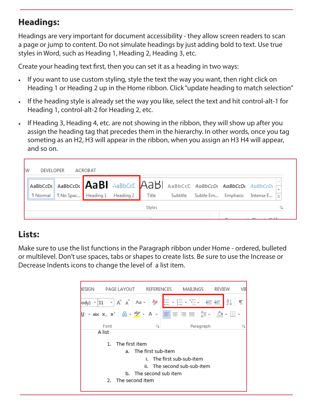# **Headings:**

Headings are very important for document accessibility - they allow screen readers to scan a page or jump to content. Do not simulate headings by just adding bold to text. Use true styles in Word, such as Heading 1, Heading 2, Heading 3, etc.

Create your heading text first, then you can set it as a heading in two ways:

- If you want to use custom styling, style the text the way you want, then right click on Heading 1 or Heading 2 up in the Home ribbon. Click "update heading to match selection"
- If the heading style is already set the way you like, select the text and hit control-alt-1 for Heading 1, control-alt-2 for Heading 2, etc.
- If Heading 3, Heading 4, etc. are not showing in the ribbon, they will show up after you assign the heading tag that precedes them in the hierarchy. In other words, once you tag someting as an H2, H3 will appear in the ribbon, when you assign an H3 H4 will appear, and so on.



# **Lists:**

Make sure to use the list functions in the Paragraph ribbon under Home - ordered, bulleted or multilevel. Don't use spaces, tabs or shapes to create lists. Be sure to use the Increase or Decrease Indents icons to change the level of a list item.

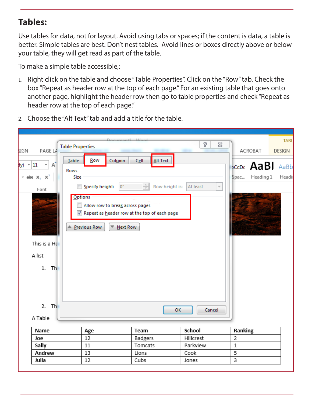### **Tables:**

Julia

12

Use tables for data, not for layout. Avoid using tabs or spaces; if the content is data, a table is better. Simple tables are best. Don't nest tables. Avoid lines or boxes directly above or below your table, they will get read as part of the table.

To make a simple table accessible,:

- 1. Right click on the table and choose "Table Properties". Click on the "Row" tab. Check the box "Repeat as header row at the top of each page." For an existing table that goes onto another page, highlight the header row then go to table properties and check "Repeat as header row at the top of each page."
- 2. Choose the "Alt Text" tab and add a title for the table.



Cubs

3

Jones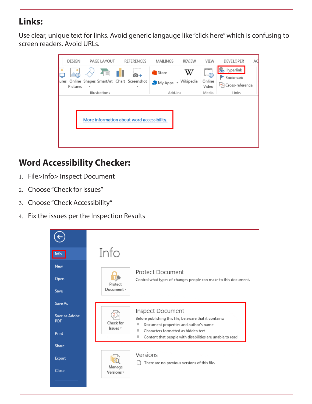# **Links:**

Use clear, unique text for links. Avoid generic langauge like "click here" which is confusing to screen readers. Avoid URLs.

|       | DESIGN        | PAGE LAYOUT                      | <b>REFERENCES</b>                          | MAILINGS                     | REVIEW | VIEW                         | <b>DEVELOPER</b>                                  | AC |
|-------|---------------|----------------------------------|--------------------------------------------|------------------------------|--------|------------------------------|---------------------------------------------------|----|
| tures | 曲<br>Pictures | Z TED<br>$\overline{\mathbf{v}}$ | Online Shapes SmartArt Chart Screenshot    | Store<br>My Apps - Wikipedia | W      | بسسم<br>ਿ<br>Online<br>Video | <b>B</b> Hyperlink<br>Bookmark<br>Cross-reference |    |
|       | Illustrations |                                  |                                            | Add-ins                      |        | Media                        | Links                                             |    |
|       |               |                                  | More information about word accessibility. |                              |        |                              |                                                   |    |

# **Word Accessibility Checker:**

- 1. File>Info> Inspect Document
- 2. Choose "Check for Issues"
- 3. Choose "Check Accessibility"
- 4. Fix the issues per the Inspection Results

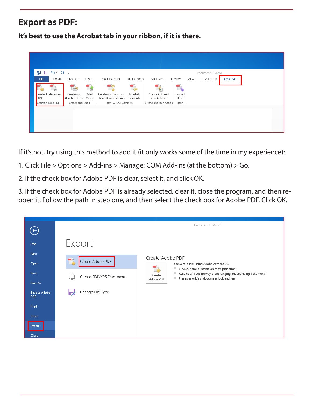### **Export as PDF:**

**It's best to use the Acrobat tab in your ribbon, if it is there.** 

| $5 - 0 =$<br>$W =$<br>FILE<br>HOME                           | <b>INSERT</b><br>DESIGN                                               | PAGE LAYOUT                                                               | <b>REFERENCES</b> | MAILINGS                                                | <b>REVIEW</b>                  | VIEW | Document1 - Word<br>DEVELOPER | <b>ACROBAT</b> |  |  |
|--------------------------------------------------------------|-----------------------------------------------------------------------|---------------------------------------------------------------------------|-------------------|---------------------------------------------------------|--------------------------------|------|-------------------------------|----------------|--|--|
| $\sqrt{8-}$<br>Create Preferences<br>PDF<br>Create Adobe PDF | L.<br>Mail<br>Create and<br>Attach to Email Merge<br>Create and Email | Create and Send For<br>Shared Commenting Comments v<br>Review And Comment | G<br>Acrobat      | Create PDF and<br>Run Action *<br>Create and Run Action | - 6<br>Embed<br>Flash<br>Flash |      |                               |                |  |  |
|                                                              |                                                                       |                                                                           |                   |                                                         |                                |      |                               |                |  |  |
|                                                              |                                                                       |                                                                           |                   |                                                         |                                |      |                               |                |  |  |

If it's not, try using this method to add it (it only works some of the time in my experience):

- 1. Click File > Options > Add-ins > Manage: COM Add-ins (at the bottom) > Go.
- 2. If the check box for Adobe PDF is clear, select it, and click OK.

3. If the check box for Adobe PDF is already selected, clear it, close the program, and then reopen it. Follow the path in step one, and then select the check box for Adobe PDF. Click OK.